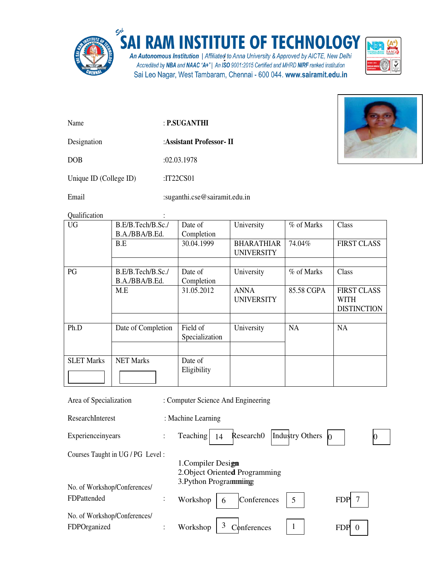

## SAI RAM INSTITUTE OF TECHNOLOGY

An Autonomous Institution | Affiliated to Anna University & Approved by AICTE, New Delhi<br>Accredited by NBA and NAAC "A+" | An ISO 9001:2015 Certified and MHRD NIRF ranked institution Sai Leo Nagar, West Tambaram, Chennai - 600 044. www.sairamit.edu.in



Name : **P.SUGANTHI**

Designation :**Assistant Professor- II**

DOB :02.03.1978

Unique ID (College ID) :IT22CS01

Email :suganthi.cse@sairamit.edu.in

Qualification :

| y uminomon        |                                     |                            |                                        |            |                                                         |
|-------------------|-------------------------------------|----------------------------|----------------------------------------|------------|---------------------------------------------------------|
| <b>UG</b>         | B.E/B.Tech/B.Sc./<br>B.A./BBA/B.Ed. | Date of<br>Completion      | University                             | % of Marks | Class                                                   |
|                   | B.E                                 | 30.04.1999                 | <b>BHARATHIAR</b><br><b>UNIVERSITY</b> | 74.04%     | <b>FIRST CLASS</b>                                      |
|                   |                                     |                            |                                        |            |                                                         |
| PG                | B.E/B.Tech/B.Sc./<br>B.A./BBA/B.Ed. | Date of<br>Completion      | University                             | % of Marks | Class                                                   |
|                   | M.E                                 | 31.05.2012                 | <b>ANNA</b><br><b>UNIVERSITY</b>       | 85.58 CGPA | <b>FIRST CLASS</b><br><b>WITH</b><br><b>DISTINCTION</b> |
|                   |                                     |                            |                                        |            |                                                         |
| Ph.D              | Date of Completion                  | Field of<br>Specialization | University                             | <b>NA</b>  | <b>NA</b>                                               |
|                   |                                     |                            |                                        |            |                                                         |
| <b>SLET Marks</b> | <b>NET Marks</b>                    | Date of<br>Eligibility     |                                        |            |                                                         |

| Area of Specialization           |                | : Computer Science And Engineering                         |
|----------------------------------|----------------|------------------------------------------------------------|
| ResearchInterest                 |                | : Machine Learning                                         |
| Experienceinyears                | $\ddot{\cdot}$ | Industry Others<br>Teaching<br>Research <sub>0</sub><br>14 |
| Courses Taught in UG / PG Level: |                |                                                            |
|                                  |                | 1. Compiler Design                                         |
|                                  |                | 2. Object Oriented Programming                             |
| No. of Workshop/Conferences/     |                | 3. Python Programming                                      |
| FDPattended                      | $\ddot{\cdot}$ | Conferences<br>7<br>Workshop<br>5<br><b>FDP</b><br>6       |
| No. of Workshop/Conferences/     |                |                                                            |
| FDPOrganized                     |                | Workshop<br>Conferences<br><b>FDP</b>                      |